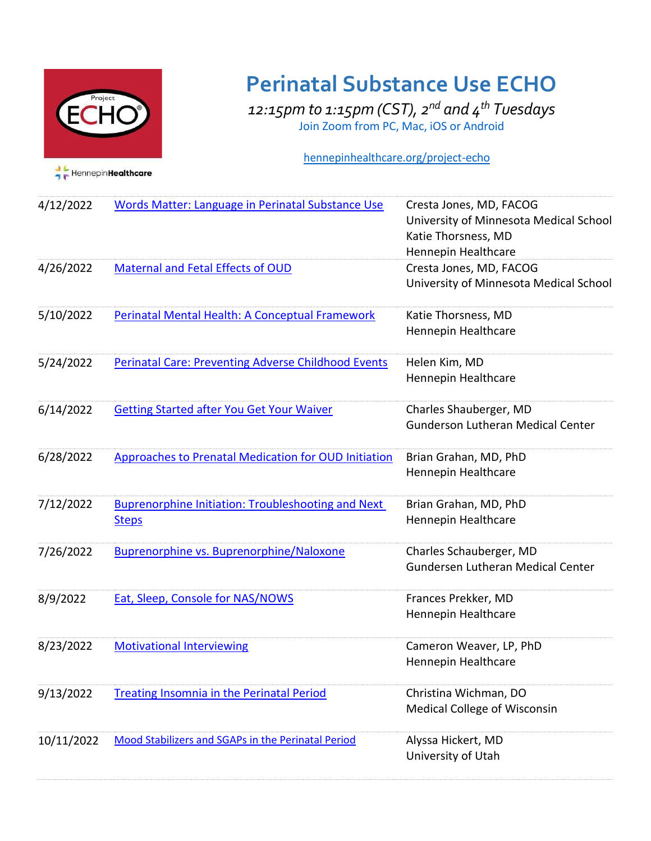

## **Perinatal Substance Use ECHO**

*12:15pm to 1:15pm (CST), 2nd and 4th Tuesdays*  Join Zoom from PC, Mac, iOS or Android

## hennepinhealthcare.org/project-echo

| 4/12/2022  | <b>Words Matter: Language in Perinatal Substance Use</b>                  | Cresta Jones, MD, FACOG<br>University of Minnesota Medical School<br>Katie Thorsness, MD<br>Hennepin Healthcare |
|------------|---------------------------------------------------------------------------|-----------------------------------------------------------------------------------------------------------------|
| 4/26/2022  | Maternal and Fetal Effects of OUD                                         | Cresta Jones, MD, FACOG<br>University of Minnesota Medical School                                               |
| 5/10/2022  | Perinatal Mental Health: A Conceptual Framework                           | Katie Thorsness, MD<br>Hennepin Healthcare                                                                      |
| 5/24/2022  | <b>Perinatal Care: Preventing Adverse Childhood Events</b>                | Helen Kim, MD<br>Hennepin Healthcare                                                                            |
| 6/14/2022  | <b>Getting Started after You Get Your Waiver</b>                          | Charles Shauberger, MD<br><b>Gunderson Lutheran Medical Center</b>                                              |
| 6/28/2022  | <b>Approaches to Prenatal Medication for OUD Initiation</b>               | Brian Grahan, MD, PhD<br>Hennepin Healthcare                                                                    |
| 7/12/2022  | <b>Buprenorphine Initiation: Troubleshooting and Next</b><br><b>Steps</b> | Brian Grahan, MD, PhD<br>Hennepin Healthcare                                                                    |
| 7/26/2022  | <b>Buprenorphine vs. Buprenorphine/Naloxone</b>                           | Charles Schauberger, MD<br>Gundersen Lutheran Medical Center                                                    |
| 8/9/2022   | <b>Eat, Sleep, Console for NAS/NOWS</b>                                   | Frances Prekker, MD<br>Hennepin Healthcare                                                                      |
| 8/23/2022  | <b>Motivational Interviewing</b>                                          | Cameron Weaver, LP, PhD<br>Hennepin Healthcare                                                                  |
| 9/13/2022  | <b>Treating Insomnia in the Perinatal Period</b>                          | Christina Wichman, DO<br>Medical College of Wisconsin                                                           |
| 10/11/2022 | Mood Stabilizers and SGAPs in the Perinatal Period                        | Alyssa Hickert, MD<br>University of Utah                                                                        |